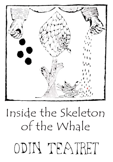# Inside the Skeleton of the WhaleODIN TEATRET

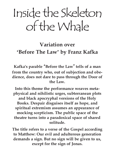## Inside the Skeleton of the Whale

### **Variation over 'Before The Law' by Franz Kafka**

**Kafka's parable 'Before the Law' tells of a man from the country who, out of subjection and obedience, does not dare to pass through the Door of the Law.**

**Into this theme the performance weaves metaphysical and nihilistic urges, subterranean plots and black apocryphal versions of the Holy Books. Despair disguises itself as hope, and spiritual extremism assumes an appearance of mocking scepticism. The public space of the theatre turns into a paradoxical space of shared solitude.**

**The title refers to a verse of the Gospel according to Matthew: Our evil and adulterous generation demands a sign. But no sign will be given to us, except for the sign of Jonas.**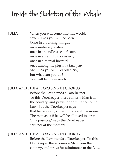### Inside the Skeleton of the Whale

JULIA When you will come into this world, seven times you will be born. Once in a burning morgue, once under icy waters, once in an endless sea of corn, once in an empty monastery, once in a mental hospital, once among the pigs in a farmyard. Six times you will let out a cry, but what can you do? You will be the seventh.

#### JULIA AND THE ACTORS SING IN CHORUS

Before the Law stands a Doorkeeper. To this Doorkeeper there comes a Man from the country, and prays for admittance to the Law. But the Doorkeeper says that he cannot grant admittance at the moment. The man asks if he will be allowed in later. "It is possible," says the Doorkeeper, "but not at the moment".

#### JULIA AND THE ACTORS SING IN CHORUS

Before the Law stands a Doorkeeper. To this Doorkeeper there comes a Man from the country, and prays for admittance to the Law.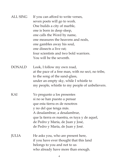| <b>ALL SING</b> | If you can afford to write verses,<br>seven poets will go to work.<br>One builds a city of marble,<br>one is born in deep sleep,<br>one calls the Word by name,<br>one measures the heavens and nods,<br>one gambles away his soul,<br>one dissects a live rat:<br>four scientists and two bold warriors.<br>You will be the seventh. |
|-----------------|---------------------------------------------------------------------------------------------------------------------------------------------------------------------------------------------------------------------------------------------------------------------------------------------------------------------------------------|
| <b>DONALD</b>   | Look, I follow my own road,<br>at the pace of a free man, with no sect, no tribe,<br>to the song of the sand-glass,<br>under an empty sky, while I whistle to<br>my people, whistle to my people of unbelievers.                                                                                                                      |
| KAI             | Yo pregunto a los presentes<br>si no se han puesto a pensar<br>que esta tierra es de nosotros<br>y no del que tenga más.<br>A desalambrar, a desalambrar,<br>que la tierra es nuestra, es tuya y de aquel,<br>de Pedro y María, de Juan y José,<br>de Pedro y María, de Juan y José.                                                  |
| <b>JULIA</b>    | He asks you, who are present here,<br>if you have ever thought that this land<br>belongs to you and not to us<br>who already have more than enough.                                                                                                                                                                                   |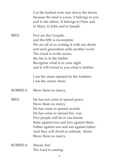|                | Cut the barbed wire, tear down the fences<br>because the land is yours, it belongs to you<br>and to the others. It belongs to Peter and<br>to Mary, to John and to Joseph.                                                                                                                                                    |
|----------------|-------------------------------------------------------------------------------------------------------------------------------------------------------------------------------------------------------------------------------------------------------------------------------------------------------------------------------|
| <b>IBEN</b>    | Five are the Gospels,<br>and the fifth is incomplete.<br>We are all of us writing it with our deeds<br>and each generation adds another word.<br>The cloud is in the ocean.<br>the fire is in the timber.<br>Recognise what is in your sight<br>and it will reveal to you what is hidden.                                     |
|                | I am the stone rejected by the builders.<br>I am the corner stone.                                                                                                                                                                                                                                                            |
| <b>ROBERTA</b> | Show them no mercy.                                                                                                                                                                                                                                                                                                           |
| <b>IBEN</b>    | He has not come to spread peace.<br>Show them no mercy.<br>He has come to spread swords.<br>He has come to spread fire, war.<br>Five people will be in one house:<br>three against two and two against three.<br>Father against son and son against father.<br>And they will dwell in solitude. Alone.<br>Show them no mercy. |
| <b>ROBERTA</b> | Maran Ata!<br>The Lord is coming.                                                                                                                                                                                                                                                                                             |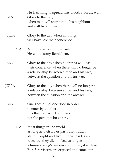| <b>IBEN</b>    | He is coming to spread fire, blood, swords, war.<br>Glory to the day,<br>when man will stop hating his neighbour<br>and will hate himself.                                                                                                                           |
|----------------|----------------------------------------------------------------------------------------------------------------------------------------------------------------------------------------------------------------------------------------------------------------------|
| JULIA          | Glory to the day when all things<br>will have lost their coherence.                                                                                                                                                                                                  |
| <b>ROBERTA</b> | A child was born in Jerusalem.<br>He will destroy Bethlehem.                                                                                                                                                                                                         |
| <b>IBEN</b>    | Glory to the day when all things will lose<br>their coherence, when there will no longer be<br>a relationship between a man and his face,<br>between the question and the answer.                                                                                    |
| <b>JULIA</b>   | Glory to the day when there will no longer be<br>a relationship between a man and his face,<br>between the question and the answer.                                                                                                                                  |
| <b>IBEN</b>    | One goes out of one door in order<br>to enter by another.<br>It is the door which chooses,<br>not the person who enters.                                                                                                                                             |
| <b>ROBERTA</b> | Most things in the world,<br>as long as their inner parts are hidden,<br>stand upright and live. If their insides are<br>revealed, they die. In fact, as long as<br>a human being's viscera are hidden, it is alive.<br>But if its viscera are exposed and come out, |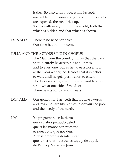it dies. So also with a tree: while its roots are hidden, it flowers and grows, but if its roots are exposed, the tree dries up. So it is with everything in the world, both that which is hidden and that which is shown.

DONALD There is no need for haste. Our time has still not come.

#### JULIA AND THE ACTORS SING IN CHORUS

The Man from the country thinks that the Law should surely be accessible at all times and to everyone. But as he takes a closer look at the Doorkeeper, he decides that it is better to wait until he gets permission to enter. The Doorkeeper gives him a stool and lets him sit down at one side of the door. There he sits for days and years.

- DONALD Our generation has teeth that are like swords, and jaws that are like knives to devour the poor and the needy of the earth.
- KAI Yo pregunto si en la tierra nunca habrá pensado usted que si las manos son nuestras es nuestro lo que nos den. A desalambrar, a desalambrar, que la tierra es nuestra, es tuya y de aquel, de Pedro y María, de Juan ...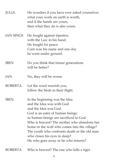| <b>JULIA</b>     | He wonders if you have ever asked yourselves<br>what your work on earth is worth,<br>and if the hands are yours,<br>then what they do is also yours.                                                                                                                                                                                                                                     |
|------------------|------------------------------------------------------------------------------------------------------------------------------------------------------------------------------------------------------------------------------------------------------------------------------------------------------------------------------------------------------------------------------------------|
| <b>JAN SINGS</b> | He fought against injustice,<br>with the Law in his hand.<br>He fought for peace.<br>Corn was his name and one day<br>he went under ground.                                                                                                                                                                                                                                              |
| <b>IBEN</b>      | Do you think that future generations<br>will be better?                                                                                                                                                                                                                                                                                                                                  |
| JAN              | No, they will be worse.                                                                                                                                                                                                                                                                                                                                                                  |
| <b>ROBERTA</b>   | Let the wind nourish you,<br>follow the birds in their flight.                                                                                                                                                                                                                                                                                                                           |
| <b>IBEN</b>      | In the beginning was the Idea<br>and the Idea was with God<br>and the Idea was God.<br>God is an eater of human beings:<br>so human beings are sacrificed to God.<br>Who is bravest? The mother who abandons her<br>home or the wolf who comes into the village?<br>The youth who confronts death or the old man<br>who closes his eyes in sleep?<br>He who goes away or he who returns? |
| <b>ROBERTA</b>   | Who is bravest? The one who kills a tiger                                                                                                                                                                                                                                                                                                                                                |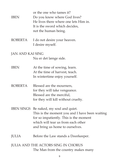| <b>IBEN</b>      | or the one who tames it?<br>Do you know where God lives?<br>He lives there where one lets Him in.<br>It is the sword which decides,<br>not the human being.                                                  |
|------------------|--------------------------------------------------------------------------------------------------------------------------------------------------------------------------------------------------------------|
| <b>ROBERTA</b>   | I do not desire your heaven.<br>I desire myself.                                                                                                                                                             |
| JAN AND KAI SING | Nu er det længe side.                                                                                                                                                                                        |
| <b>IBEN</b>      | At the time of sowing, learn.<br>At the time of harvest, teach.<br>In wintertime enjoy yourself.                                                                                                             |
| <b>ROBERTA</b>   | Blessed are the mourners,<br>for they will take vengeance.<br>Blessed are the merciful,<br>for they will kill without cruelty.                                                                               |
|                  | IBEN SINGS Be naked, my soul and quiet.<br>This is the moment you and I have been waiting<br>for so impatiently. This is the moment<br>which will tear us from each other<br>and bring us home to ourselves. |
| <b>JULIA</b>     | Before the Law stands a Doorkeeper.                                                                                                                                                                          |
|                  | JULIA AND THE ACTORS SING IN CHORUS<br>The Man from the country makes many                                                                                                                                   |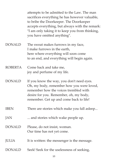|                | attempts to be admitted to the Law. The man<br>sacrifices everything he has however valuable,<br>to bribe the Doorkeeper. The Doorkeeper<br>accepts everything, but always with the remark:<br>"I am only taking it to keep you from thinking,<br>you have omitted anything". |
|----------------|-------------------------------------------------------------------------------------------------------------------------------------------------------------------------------------------------------------------------------------------------------------------------------|
| <b>DONALD</b>  | The sweat makes furrows in my face,<br>I make furrows in the earth.<br>here where everything will soon come<br>to an end, and everything will begin again.                                                                                                                    |
| <b>ROBERTA</b> | Come back and take me,<br>joy and perfume of my life.                                                                                                                                                                                                                         |
| <b>DONALD</b>  | If you know the way, you don't need eyes.<br>Oh, my body, remember how you were loved,<br>remember how the voices trembled with<br>desire for you. Remember, oh, my body,<br>remember. Get up and come back to life!                                                          |
| <b>IBEN</b>    | There are stories which make you fall asleep                                                                                                                                                                                                                                  |
| JAN            | and stories which wake people up.                                                                                                                                                                                                                                             |
| <b>DONALD</b>  | Please, do not insist, woman.<br>Our time has not yet come.                                                                                                                                                                                                                   |
| <b>JULIA</b>   | It is written: the messenger is the message.                                                                                                                                                                                                                                  |
| <b>DONALD</b>  | Seek! Seek for the uselessness of seeking,                                                                                                                                                                                                                                    |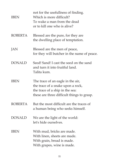| <b>IBEN</b>    | not for the usefullness of finding.<br>Which is more difficult?<br>To wake a man from the dead<br>or to kill one who is alive?                          |
|----------------|---------------------------------------------------------------------------------------------------------------------------------------------------------|
| <b>ROBERTA</b> | Blessed are the pure, for they are<br>the dwelling place of temptation.                                                                                 |
| JAN            | Blessed are the men of peace,<br>for they will butcher in the name of peace.                                                                            |
| <b>DONALD</b>  | Seed! Sand! I cast the seed on the sand<br>and turn it into fruitful land.<br>Talita kum.                                                               |
| <b>IBEN</b>    | The trace of an eagle in the air,<br>the trace of a snake upon a rock,<br>the trace of a ship in the sea:<br>these are three difficult things to grasp. |
| <b>ROBERTA</b> | But the most difficult are the traces of<br>a human being who seeks himself.                                                                            |
| <b>DONALD</b>  | We are the light of the world:<br>let's hide ourselves.                                                                                                 |
| <b>IBEN</b>    | With mud, bricks are made.<br>With linen, sheets are made.<br>With grain, bread is made.<br>With grapes, wine is made.                                  |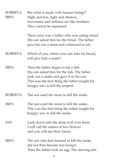| <b>ROBERTA</b><br><b>IBEN</b> | But what is made with human beings?<br>High and low, light and shadow,<br>movement and stillness are like brothers.<br>They cannot be separated.                                                                     |
|-------------------------------|----------------------------------------------------------------------------------------------------------------------------------------------------------------------------------------------------------------------|
|                               | There once was a father who was eating bread.<br>His son asked him for the bread. The father<br>gave his son a stone and continued to eat.                                                                           |
| <b>ROBERTA</b>                | Which of you, when your son asks for bread,<br>will give him a stone?                                                                                                                                                |
| <b>IBEN</b>                   | Then the father began to eat a fish.<br>His son asked him for the fish. The father<br>took out a snake and gave it to his son.<br>This was the first thing the father taught his<br>hungry son: to kill the serpent. |
| <b>ROBERTA</b>                | The son used the stone to kill the snake.                                                                                                                                                                            |
| <b>IBEN</b>                   | The son used the stone to kill the snake.<br>This was the first thing the father taught his<br>hungry son: to kill the snake.                                                                                        |
| <b>JAN</b>                    | Look down into the deep well over there.<br>I will call the names of two flowers<br>and you will see their future.                                                                                                   |
| <b>IBEN</b>                   | The son who had learned to kill the snake<br>did not thus become less hungry.<br>Then the father took an egg. The starving son                                                                                       |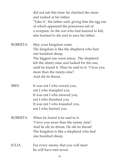|                | did not ask this time: he clutched the stone<br>and rushed at his father.<br>"Take it", the father said, giving him the egg out<br>of which appeared the poisonous tail of<br>a scorpion. So the son who had learned to kill,<br>also learned to die and to save his father.                       |
|----------------|----------------------------------------------------------------------------------------------------------------------------------------------------------------------------------------------------------------------------------------------------------------------------------------------------|
| <b>ROBERTA</b> | May your kingdom come.<br>The kingdom is like the shepherd who had<br>one hundred sheep.<br>The biggest one went astray. The shepherd<br>left the ninety-nine and looked for the one,<br>until he found it. Than he said to it: "I love you<br>more than the ninety-nine".<br>And slit its throat. |
| <b>IBEN</b>    | It was not I who sowed you,<br>not I who trampled you.<br>It was not I who mowed you,<br>not I who threshed you.<br>It was not I who kneaded you,<br>not I who burned you.                                                                                                                         |
| <b>ROBERTA</b> | When he found it he said to it:<br>"I love you more than the ninety nine".<br>And he slit its throat. He slit its throat!<br>The kingdom is like a shepherd who had<br>one hundred sheep.                                                                                                          |
| <b>JULIA</b>   | For every enemy that you will meet<br>he will have met seven.                                                                                                                                                                                                                                      |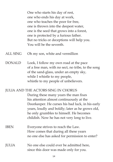One who starts his day of rest, one who ends his day at work, one who teaches the poor for free, one is thrown into the deepest water, one is the seed that grows into a forest, one is protected by a furious father. But no tricks or deceptions will help you. You will be the seventh.

ALL SING Oh my son, white and vermillion

DONALD Look, I follow my own road at the pace of a free man, with no sect, no tribe, to the song of the sand-glass, under an empty sky, while I whistle to my people, whistle to my people of unbelievers.

JULIA AND THE ACTORS SING IN CHORUS

During these many years the man fixes his attention almost continuously at the Doorkeeper. He curses his bad luck, in his early years, loudly and boldly; later as he grows old, he only grumbles to himself. He becomes childish. Now he has not very long to live.

- IBEN Everyone strives to reach the Law. How comes that during all these years no one else has asked for permission to enter?
- JULIA No one else could ever be admitted here, since this door was made only for you.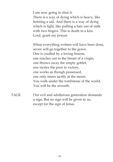I am now going to shut it. There is a way of dying which is heavy, like hoisting a sail. And there is a way of dying which is light, like pulling a hair out of milk with two fingers. This is death in a kiss. Lord, grant my prayer.

When everything written will have been done, seven will go together to the grave. One is cradled by a loving bosom, one reaches out to the breast of a virgin, one throws away the empty goblet, one incites the poor to victory, one works as though possessed, one only stares tacitly at the moon. You walk under the tombstone of the world. You will be the seventh.

TAGE Our evil and adulterous generation demands a sign. But no sign will be given to us, except for the sign of Jonas.